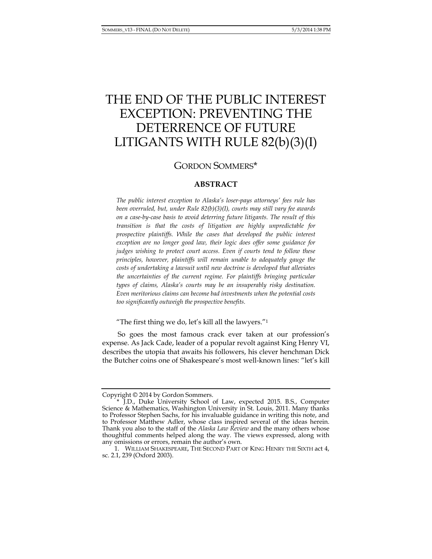# THE END OF THE PUBLIC INTEREST EXCEPTION: PREVENTING THE DETERRENCE OF FUTURE LITIGANTS WITH RULE 82(b)(3)(I)

# GORDON SOMMERS\*

# **ABSTRACT**

*The public interest exception to Alaska's loser-pays attorneys' fees rule has been overruled, but, under Rule 82(b)(3)(I), courts may still vary fee awards on a case-by-case basis to avoid deterring future litigants. The result of this transition is that the costs of litigation are highly unpredictable for prospective plaintiffs. While the cases that developed the public interest exception are no longer good law, their logic does offer some guidance for judges wishing to protect court access. Even if courts tend to follow these principles, however, plaintiffs will remain unable to adequately gauge the costs of undertaking a lawsuit until new doctrine is developed that alleviates the uncertainties of the current regime. For plaintiffs bringing particular types of claims, Alaska's courts may be an insuperably risky destination. Even meritorious claims can become bad investments when the potential costs too significantly outweigh the prospective benefits.* 

"The first thing we do, let's kill all the lawyers."<sup>1</sup>

So goes the most famous crack ever taken at our profession's expense. As Jack Cade, leader of a popular revolt against King Henry VI, describes the utopia that awaits his followers, his clever henchman Dick the Butcher coins one of Shakespeare's most well-known lines: "let's kill

Copyright © 2014 by Gordon Sommers.

 <sup>\*</sup> J.D., Duke University School of Law, expected 2015. B.S., Computer Science & Mathematics, Washington University in St. Louis, 2011. Many thanks to Professor Stephen Sachs, for his invaluable guidance in writing this note, and to Professor Matthew Adler, whose class inspired several of the ideas herein. Thank you also to the staff of the *Alaska Law Review* and the many others whose thoughtful comments helped along the way. The views expressed, along with any omissions or errors, remain the author's own.

 <sup>1.</sup> WILLIAM SHAKESPEARE, THE SECOND PART OF KING HENRY THE SIXTH act 4, sc. 2.1, 239 (Oxford 2003).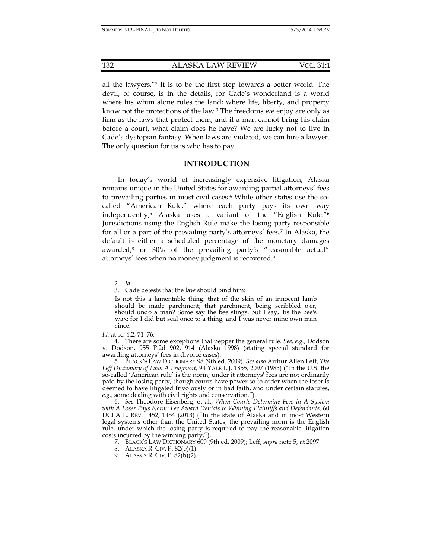132 ALASKA LAW REVIEW VOL. 31:1

all the lawyers."2 It is to be the first step towards a better world. The devil, of course, is in the details, for Cade's wonderland is a world where his whim alone rules the land; where life, liberty, and property know not the protections of the law.3 The freedoms we enjoy are only as firm as the laws that protect them, and if a man cannot bring his claim before a court, what claim does he have? We are lucky not to live in Cade's dystopian fantasy. When laws are violated, we can hire a lawyer. The only question for us is who has to pay.

## **INTRODUCTION**

In today's world of increasingly expensive litigation, Alaska remains unique in the United States for awarding partial attorneys' fees to prevailing parties in most civil cases.4 While other states use the socalled "American Rule," where each party pays its own way independently,5 Alaska uses a variant of the "English Rule."6 Jurisdictions using the English Rule make the losing party responsible for all or a part of the prevailing party's attorneys' fees.7 In Alaska, the default is either a scheduled percentage of the monetary damages awarded,8 or 30% of the prevailing party's "reasonable actual" attorneys' fees when no money judgment is recovered.9

 <sup>2.</sup> *Id.* 

 <sup>3.</sup> Cade detests that the law should bind him:

Is not this a lamentable thing, that of the skin of an innocent lamb should be made parchment; that parchment, being scribbled o'er, should undo a man? Some say the bee stings, but I say, 'tis the bee's wax; for I did but seal once to a thing, and I was never mine own man since.

*Id.* at sc. 4.2, 71–76*.*

 <sup>4.</sup> There are some exceptions that pepper the general rule. *See, e.g.*, Dodson v. Dodson, 955 P.2d 902, 914 (Alaska 1998) (stating special standard for awarding attorneys' fees in divorce cases).

 <sup>5.</sup> BLACK'S LAW DICTIONARY 98 (9th ed. 2009). *See also* Arthur Allen Leff, *The Leff Dictionary of Law: A Fragment*, 94 YALE L.J. 1855, 2097 (1985) ("In the U.S. the so-called 'American rule' is the norm; under it attorneys' fees are not ordinarily paid by the losing party, though courts have power so to order when the loser is deemed to have litigated frivolously or in bad faith, and under certain statutes, *e.g.,* some dealing with civil rights and conservation.").

 <sup>6.</sup> *See* Theodore Eisenberg, et al., *When Courts Determine Fees in A System with A Loser Pays Norm: Fee Award Denials to Winning Plaintiffs and Defendants*, 60 UCLA L. REV. 1452, 1454 (2013) ("In the state of Alaska and in most Western legal systems other than the United States, the prevailing norm is the English rule, under which the losing party is required to pay the reasonable litigation costs incurred by the winning party.").

 <sup>7.</sup> BLACK'S LAW DICTIONARY 609 (9th ed. 2009); Leff, *supra* note 5, at 2097.

 <sup>8.</sup> ALASKA R. CIV. P. 82(b)(1).

 <sup>9.</sup> ALASKA R. CIV. P. 82(b)(2).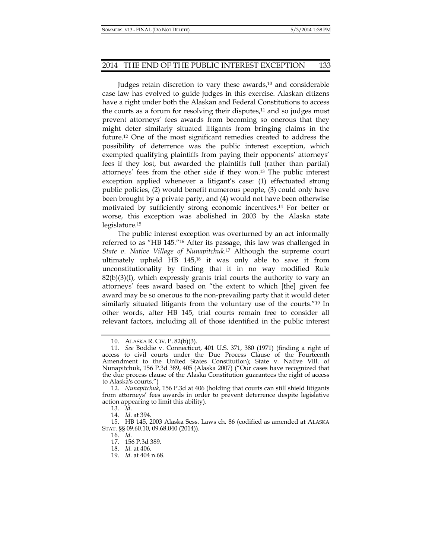Judges retain discretion to vary these awards,<sup>10</sup> and considerable case law has evolved to guide judges in this exercise. Alaskan citizens have a right under both the Alaskan and Federal Constitutions to access the courts as a forum for resolving their disputes, $11$  and so judges must prevent attorneys' fees awards from becoming so onerous that they might deter similarly situated litigants from bringing claims in the future.12 One of the most significant remedies created to address the possibility of deterrence was the public interest exception, which exempted qualifying plaintiffs from paying their opponents' attorneys' fees if they lost, but awarded the plaintiffs full (rather than partial) attorneys' fees from the other side if they won.13 The public interest exception applied whenever a litigant's case: (1) effectuated strong public policies, (2) would benefit numerous people, (3) could only have been brought by a private party, and (4) would not have been otherwise motivated by sufficiently strong economic incentives.14 For better or worse, this exception was abolished in 2003 by the Alaska state legislature.15

The public interest exception was overturned by an act informally referred to as "HB 145."16 After its passage, this law was challenged in *State v. Native Village of Nunapitchuk*.17 Although the supreme court ultimately upheld HB 145,18 it was only able to save it from unconstitutionality by finding that it in no way modified Rule  $82(b)(3)(I)$ , which expressly grants trial courts the authority to vary an attorneys' fees award based on "the extent to which [the] given fee award may be so onerous to the non-prevailing party that it would deter similarly situated litigants from the voluntary use of the courts."19 In other words, after HB 145, trial courts remain free to consider all relevant factors, including all of those identified in the public interest

16. *Id*.

 <sup>10.</sup> ALASKA R. CIV. P. 82(b)(3).

 <sup>11.</sup> *See* Boddie v. Connecticut, 401 U.S. 371, 380 (1971) (finding a right of access to civil courts under the Due Process Clause of the Fourteenth Amendment to the United States Constitution); State v. Native Vill. of Nunapitchuk, 156 P.3d 389, 405 (Alaska 2007) ("Our cases have recognized that the due process clause of the Alaska Constitution guarantees the right of access to Alaska's courts.")

 <sup>12.</sup> *Nunapitchuk*, 156 P.3d at 406 (holding that courts can still shield litigants from attorneys' fees awards in order to prevent deterrence despite legislative action appearing to limit this ability).

 <sup>13.</sup> *Id*.

 <sup>14.</sup> *Id*. at 394.

 <sup>15.</sup> HB 145, 2003 Alaska Sess. Laws ch. 86 (codified as amended at ALASKA STAT. §§ 09.60.10, 09.68.040 (2014)).

 <sup>17. 156</sup> P.3d 389.

 <sup>18.</sup> *Id.* at 406.

 <sup>19.</sup> *Id.* at 404 n.68.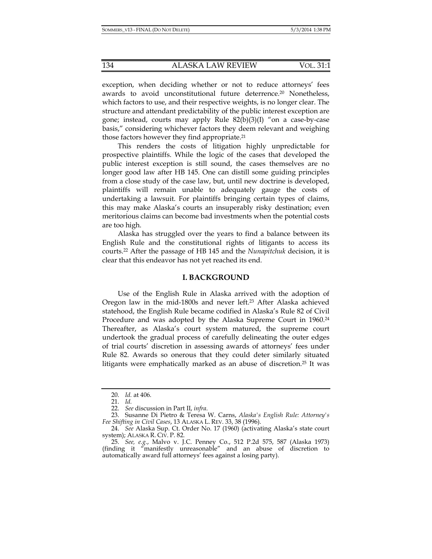exception, when deciding whether or not to reduce attorneys' fees awards to avoid unconstitutional future deterrence.20 Nonetheless, which factors to use, and their respective weights, is no longer clear. The structure and attendant predictability of the public interest exception are gone; instead, courts may apply Rule 82(b)(3)(I) "on a case-by-case basis," considering whichever factors they deem relevant and weighing those factors however they find appropriate.21

This renders the costs of litigation highly unpredictable for prospective plaintiffs. While the logic of the cases that developed the public interest exception is still sound, the cases themselves are no longer good law after HB 145. One can distill some guiding principles from a close study of the case law, but, until new doctrine is developed, plaintiffs will remain unable to adequately gauge the costs of undertaking a lawsuit. For plaintiffs bringing certain types of claims, this may make Alaska's courts an insuperably risky destination; even meritorious claims can become bad investments when the potential costs are too high.

Alaska has struggled over the years to find a balance between its English Rule and the constitutional rights of litigants to access its courts.22 After the passage of HB 145 and the *Nunapitchuk* decision, it is clear that this endeavor has not yet reached its end.

#### **I. BACKGROUND**

Use of the English Rule in Alaska arrived with the adoption of Oregon law in the mid-1800s and never left.<sup>23</sup> After Alaska achieved statehood, the English Rule became codified in Alaska's Rule 82 of Civil Procedure and was adopted by the Alaska Supreme Court in 1960.<sup>24</sup> Thereafter, as Alaska's court system matured, the supreme court undertook the gradual process of carefully delineating the outer edges of trial courts' discretion in assessing awards of attorneys' fees under Rule 82. Awards so onerous that they could deter similarly situated litigants were emphatically marked as an abuse of discretion.25 It was

 <sup>20.</sup> *Id.* at 406.

 <sup>21.</sup> *Id.* 

 <sup>22.</sup> *See* discussion in Part II, *infra*.

 <sup>23.</sup> Susanne Di Pietro & Teresa W. Carns, *Alaska's English Rule: Attorney's Fee Shifting in Civil Cases*, 13 ALASKA L. REV. 33, 38 (1996).

 <sup>24.</sup> *See* Alaska Sup. Ct. Order No. 17 (1960) (activating Alaska's state court system); ALASKA R. CIV. P. 82.

 <sup>25.</sup> *See, e.g.*, Malvo v. J.C. Penney Co., 512 P.2d 575, 587 (Alaska 1973) (finding it "manifestly unreasonable" and an abuse of discretion to automatically award full attorneys' fees against a losing party).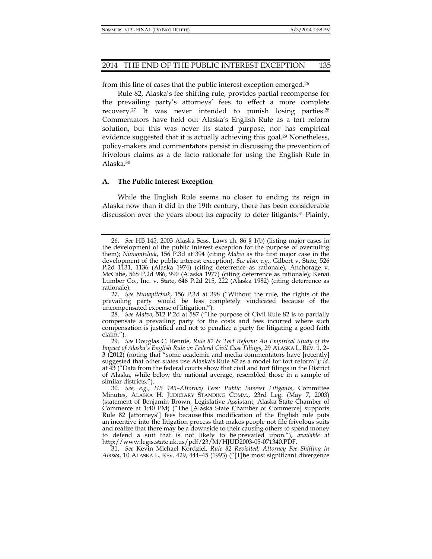from this line of cases that the public interest exception emerged.26

Rule 82, Alaska's fee shifting rule, provides partial recompense for the prevailing party's attorneys' fees to effect a more complete recovery.27 It was never intended to punish losing parties.28 Commentators have held out Alaska's English Rule as a tort reform solution, but this was never its stated purpose, nor has empirical evidence suggested that it is actually achieving this goal.<sup>29</sup> Nonetheless, policy-makers and commentators persist in discussing the prevention of frivolous claims as a de facto rationale for using the English Rule in Alaska.30

#### **A. The Public Interest Exception**

While the English Rule seems no closer to ending its reign in Alaska now than it did in the 19th century, there has been considerable discussion over the years about its capacity to deter litigants.31 Plainly,

 27. *See Nunapitchuk*, 156 P.3d at 398 ("Without the rule, the rights of the prevailing party would be less completely vindicated because of the uncompensated expense of litigation.").

 28. *See Malvo*, 512 P.2d at 587 ("The purpose of Civil Rule 82 is to partially compensate a prevailing party for the costs and fees incurred where such compensation is justified and not to penalize a party for litigating a good faith claim.").

 31. *See* Kevin Michael Kordziel, *Rule 82 Revisited: Attorney Fee Shifting in Alaska*, 10 ALASKA L. REV. 429, 444–45 (1993) ("[T]he most significant divergence

 <sup>26.</sup> *See* HB 145, 2003 Alaska Sess. Laws ch. 86 § 1(b) (listing major cases in the development of the public interest exception for the purpose of overruling them); *Nunapitchuk*, 156 P.3d at 394 (citing *Malvo* as the first major case in the development of the public interest exception). *See also, e.g.*, Gilbert v. State, 526 P.2d 1131, 1136 (Alaska 1974) (citing deterrence as rationale); Anchorage v. McCabe, 568 P.2d 986, 990 (Alaska 1977) (citing deterrence as rationale); Kenai Lumber Co., Inc. v. State, 646 P.2d 215, 222 (Alaska 1982) (citing deterrence as rationale).

 <sup>29.</sup> *See* Douglas C. Rennie, *Rule 82 & Tort Reform: An Empirical Study of the Impact of Alaska's English Rule on Federal Civil Case Filings*, 29 ALASKA L. REV. 1, 2– 3 (2012) (noting that "some academic and media commentators have [recently] suggested that other states use Alaska's Rule 82 as a model for tort reform"); *id.*  at 43 ("Data from the federal courts show that civil and tort filings in the District of Alaska, while below the national average, resembled those in a sample of similar districts.").

 <sup>30.</sup> *See, e.g.*, *HB 145*–*Attorney Fees: Public Interest Litigants*, Committee Minutes, ALASKA H. JUDICIARY STANDING COMM., 23rd Leg. (May 7, 2003) (statement of Benjamin Brown, Legislative Assistant, Alaska State Chamber of Commerce at 1:40 PM) ("The [Alaska State Chamber of Commerce] supports Rule 82 [attorneys'] fees because this modification of the English rule puts an incentive into the litigation process that makes people not file frivolous suits and realize that there may be a downside to their causing others to spend money to defend a suit that is not likely to be prevailed upon."), *available at*  http://www.legis.state.ak.us/pdf/23/M/HJUD2003-05-071340.PDF.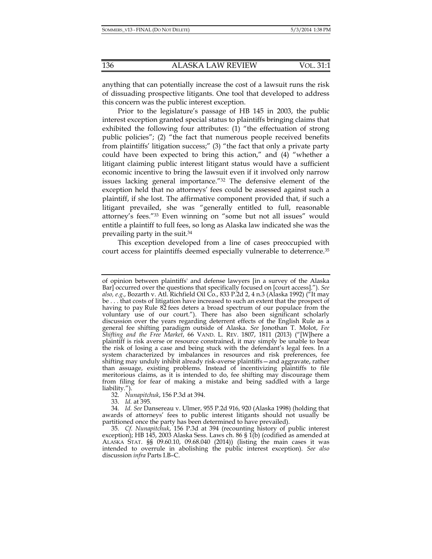anything that can potentially increase the cost of a lawsuit runs the risk of dissuading prospective litigants. One tool that developed to address this concern was the public interest exception.

Prior to the legislature's passage of HB 145 in 2003, the public interest exception granted special status to plaintiffs bringing claims that exhibited the following four attributes: (1) "the effectuation of strong public policies"; (2) "the fact that numerous people received benefits from plaintiffs' litigation success;" (3) "the fact that only a private party could have been expected to bring this action," and (4) "whether a litigant claiming public interest litigant status would have a sufficient economic incentive to bring the lawsuit even if it involved only narrow issues lacking general importance."32 The defensive element of the exception held that no attorneys' fees could be assessed against such a plaintiff, if she lost. The affirmative component provided that, if such a litigant prevailed, she was "generally entitled to full, reasonable attorney's fees."33 Even winning on "some but not all issues" would entitle a plaintiff to full fees, so long as Alaska law indicated she was the prevailing party in the suit.34

This exception developed from a line of cases preoccupied with court access for plaintiffs deemed especially vulnerable to deterrence.35

32. *Nunapitchuk*, 156 P.3d at 394.

33. *Id.* at 395.

of opinion between plaintiffs' and defense lawyers [in a survey of the Alaska Bar] occurred over the questions that specifically focused on [court access]."). *See also, e.g.*, Bozarth v. Atl. Richfield Oil Co., 833 P.2d 2, 4 n.3 (Alaska 1992) ("It may be . . . that costs of litigation have increased to such an extent that the prospect of having to pay Rule 82 fees deters a broad spectrum of our populace from the voluntary use of our court."). There has also been significant scholarly discussion over the years regarding deterrent effects of the English Rule as a general fee shifting paradigm outside of Alaska. *See* Jonothan T. Molot, *Fee Shifting and the Free Market*, 66 VAND. L. REV. 1807, 1811 (2013) ("[W]here a plaintiff is risk averse or resource constrained, it may simply be unable to bear the risk of losing a case and being stuck with the defendant's legal fees. In a system characterized by imbalances in resources and risk preferences, fee shifting may unduly inhibit already risk-averse plaintiffs—and aggravate, rather than assuage, existing problems. Instead of incentivizing plaintiffs to file meritorious claims, as it is intended to do, fee shifting may discourage them from filing for fear of making a mistake and being saddled with a large liability.").

 <sup>34.</sup> *Id. See* Dansereau v. Ulmer, 955 P.2d 916, 920 (Alaska 1998) (holding that awards of attorneys' fees to public interest litigants should not usually be partitioned once the party has been determined to have prevailed).

 <sup>35.</sup> *Cf. Nunapitchuk*, 156 P.3d at 394 (recounting history of public interest exception); HB 145, 2003 Alaska Sess. Laws ch. 86 § 1(b) (codified as amended at ALASKA STAT. §§ 09.60.10, 09.68.040 (2014)) (listing the main cases it was intended to overrule in abolishing the public interest exception). *See also* discussion *infra* Parts I.B–C.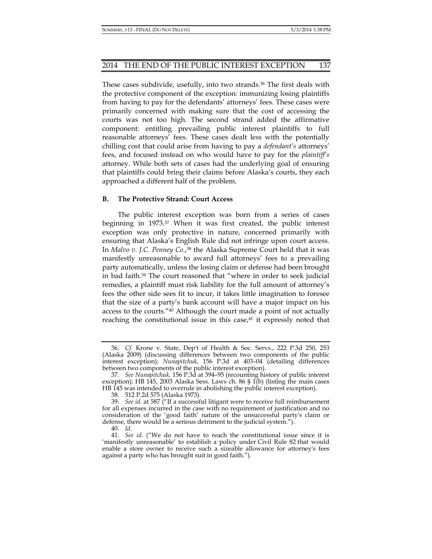These cases subdivide, usefully, into two strands.<sup>36</sup> The first deals with the protective component of the exception: immunizing losing plaintiffs from having to pay for the defendants' attorneys' fees. These cases were primarily concerned with making sure that the cost of accessing the courts was not too high. The second strand added the affirmative component: entitling prevailing public interest plaintiffs to full reasonable attorneys' fees. These cases dealt less with the potentially chilling cost that could arise from having to pay a *defendant's* attorneys' fees, and focused instead on who would have to pay for the *plaintiff's* attorney. While both sets of cases had the underlying goal of ensuring that plaintiffs could bring their claims before Alaska's courts, they each approached a different half of the problem.

#### **B. The Protective Strand: Court Access**

The public interest exception was born from a series of cases beginning in 1973.37 When it was first created, the public interest exception was only protective in nature, concerned primarily with ensuring that Alaska's English Rule did not infringe upon court access. In *Malvo v. J.C. Penney Co.*,38 the Alaska Supreme Court held that it was manifestly unreasonable to award full attorneys' fees to a prevailing party automatically, unless the losing claim or defense had been brought in bad faith.39 The court reasoned that "where in order to seek judicial remedies, a plaintiff must risk liability for the full amount of attorney's fees the other side sees fit to incur, it takes little imagination to foresee that the size of a party's bank account will have a major impact on his access to the courts."40 Although the court made a point of not actually reaching the constitutional issue in this case, $41$  it expressly noted that

 <sup>36.</sup> *Cf.* Krone v. State, Dep't of Health & Soc. Servs., 222 P.3d 250, 253 (Alaska 2009) (discussing differences between two components of the public interest exception); *Nunapitchuk*, 156 P.3d at 403–04 (detailing differences between two components of the public interest exception).

 <sup>37.</sup> *See Nunapitchuk,* 156 P.3d at 394–95 (recounting history of public interest exception); HB 145, 2003 Alaska Sess. Laws ch. 86 § 1(b) (listing the main cases HB 145 was intended to overrule in abolishing the public interest exception)*.* 

 <sup>38. 512</sup> P.2d 575 (Alaska 1973).

 <sup>39.</sup> *See id.* at 587 ("If a successful litigant were to receive full reimbursement for all expenses incurred in the case with no requirement of justification and no consideration of the 'good faith' nature of the unsuccessful party's claim or defense, there would be a serious detriment to the judicial system.").

 <sup>40.</sup> *Id*.

 <sup>41.</sup> *See id.* ("We do not have to reach the constitutional issue since it is 'manifestly unreasonable' to establish a policy under Civil Rule 82 that would enable a store owner to receive such a sizeable allowance for attorney's fees against a party who has brought suit in good faith.").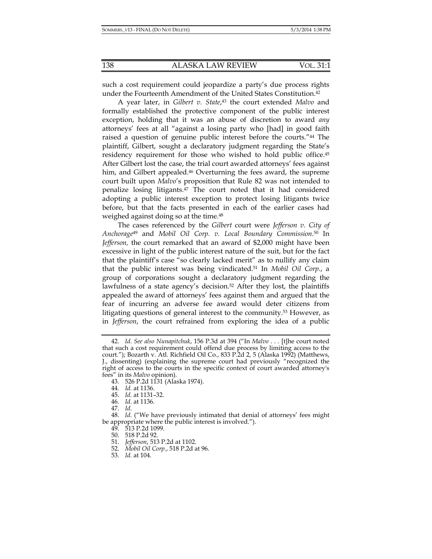such a cost requirement could jeopardize a party's due process rights under the Fourteenth Amendment of the United States Constitution.<sup>42</sup>

A year later, in *Gilbert v. State*, 43 the court extended *Malvo* and formally established the protective component of the public interest exception, holding that it was an abuse of discretion to award *any* attorneys' fees at all "against a losing party who [had] in good faith raised a question of genuine public interest before the courts."44 The plaintiff, Gilbert, sought a declaratory judgment regarding the State's residency requirement for those who wished to hold public office.<sup>45</sup> After Gilbert lost the case, the trial court awarded attorneys' fees against him, and Gilbert appealed.<sup>46</sup> Overturning the fees award, the supreme court built upon *Malvo*'s proposition that Rule 82 was not intended to penalize losing litigants.47 The court noted that it had considered adopting a public interest exception to protect losing litigants twice before, but that the facts presented in each of the earlier cases had weighed against doing so at the time.<sup>48</sup>

The cases referenced by the *Gilbert* court were *Jefferson v. City of Anchorage*49 and *Mobil Oil Corp. v. Local Boundary Commission*. 50 In *Jefferson,* the court remarked that an award of \$2,000 might have been excessive in light of the public interest nature of the suit, but for the fact that the plaintiff's case "so clearly lacked merit" as to nullify any claim that the public interest was being vindicated.51 In *Mobil Oil Corp.*, a group of corporations sought a declaratory judgment regarding the lawfulness of a state agency's decision.<sup>52</sup> After they lost, the plaintiffs appealed the award of attorneys' fees against them and argued that the fear of incurring an adverse fee award would deter citizens from litigating questions of general interest to the community.53 However, as in *Jefferson*, the court refrained from exploring the idea of a public

 <sup>42.</sup> *Id*. *See also Nunapitchuk*, 156 P.3d at 394 ("In *Malvo* . . . [t]he court noted that such a cost requirement could offend due process by limiting access to the court."); Bozarth v. Atl. Richfield Oil Co., 833 P.2d 2, 5 (Alaska 1992) (Matthews, J., dissenting) (explaining the supreme court had previously "recognized the right of access to the courts in the specific context of court awarded attorney's fees" in its *Malvo* opinion).

 <sup>43. 526</sup> P.2d 1131 (Alaska 1974).

 <sup>44.</sup> *Id.* at 1136.

 <sup>45.</sup> *Id*. at 1131–32.

 <sup>46.</sup> *Id*. at 1136.

 <sup>47.</sup> *Id*.

 <sup>48.</sup> *Id*. ("We have previously intimated that denial of attorneys' fees might be appropriate where the public interest is involved.").

 <sup>49. 513</sup> P.2d 1099.

 <sup>50. 518</sup> P.2d 92.

 <sup>51.</sup> *Jefferson*, 513 P.2d at 1102.

 <sup>52.</sup> *Mobil Oil Corp.*, 518 P.2d at 96.

 <sup>53.</sup> *Id.* at 104.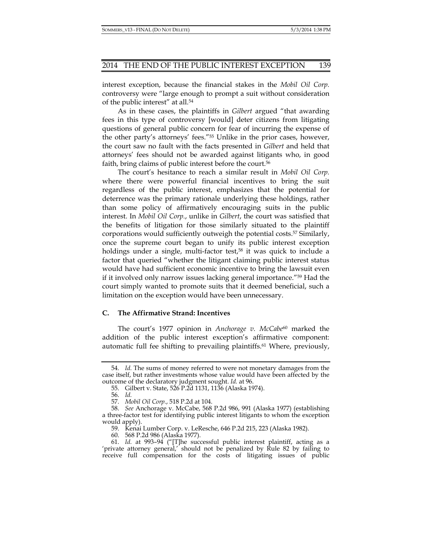interest exception, because the financial stakes in the *Mobil Oil Corp.*  controversy were "large enough to prompt a suit without consideration of the public interest" at all.54

As in these cases, the plaintiffs in *Gilbert* argued "that awarding fees in this type of controversy [would] deter citizens from litigating questions of general public concern for fear of incurring the expense of the other party's attorneys' fees."55 Unlike in the prior cases, however, the court saw no fault with the facts presented in *Gilbert* and held that attorneys' fees should not be awarded against litigants who, in good faith, bring claims of public interest before the court.<sup>56</sup>

The court's hesitance to reach a similar result in *Mobil Oil Corp.* where there were powerful financial incentives to bring the suit regardless of the public interest, emphasizes that the potential for deterrence was the primary rationale underlying these holdings, rather than some policy of affirmatively encouraging suits in the public interest. In *Mobil Oil Corp.*, unlike in *Gilbert*, the court was satisfied that the benefits of litigation for those similarly situated to the plaintiff corporations would sufficiently outweigh the potential costs.57 Similarly, once the supreme court began to unify its public interest exception holdings under a single, multi-factor test,<sup>58</sup> it was quick to include a factor that queried "whether the litigant claiming public interest status would have had sufficient economic incentive to bring the lawsuit even if it involved only narrow issues lacking general importance."59 Had the court simply wanted to promote suits that it deemed beneficial, such a limitation on the exception would have been unnecessary.

#### **C. The Affirmative Strand: Incentives**

The court's 1977 opinion in *Anchorage v. McCabe*60 marked the addition of the public interest exception's affirmative component: automatic full fee shifting to prevailing plaintiffs.<sup>61</sup> Where, previously,

 <sup>54.</sup> *Id.* The sums of money referred to were not monetary damages from the case itself, but rather investments whose value would have been affected by the outcome of the declaratory judgment sought. *Id.* at 96.

 <sup>55.</sup> Gilbert v. State, 526 P.2d 1131, 1136 (Alaska 1974).

 <sup>56.</sup> *Id.*

 <sup>57.</sup> *Mobil Oil Corp.*, 518 P.2d at 104.

 <sup>58.</sup> *See* Anchorage v. McCabe, 568 P.2d 986, 991 (Alaska 1977) (establishing a three-factor test for identifying public interest litigants to whom the exception would apply).

 <sup>59.</sup> Kenai Lumber Corp. v. LeResche, 646 P.2d 215, 223 (Alaska 1982).

 <sup>60. 568</sup> P.2d 986 (Alaska 1977).

 <sup>61.</sup> *Id.* at 993–94 ("[T]he successful public interest plaintiff, acting as a 'private attorney general,' should not be penalized by Rule 82 by failing to receive full compensation for the costs of litigating issues of public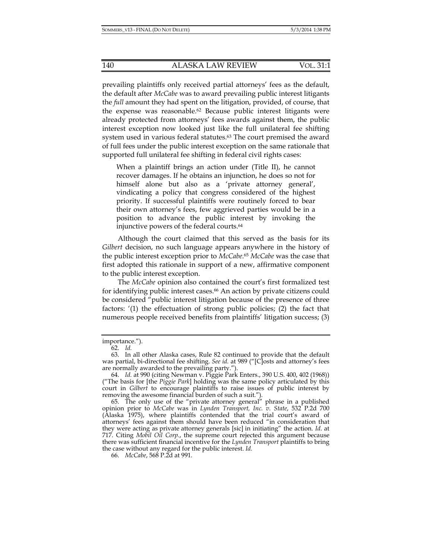prevailing plaintiffs only received partial attorneys' fees as the default, the default after *McCabe* was to award prevailing public interest litigants the *full* amount they had spent on the litigation, provided, of course, that the expense was reasonable.62 Because public interest litigants were already protected from attorneys' fees awards against them, the public interest exception now looked just like the full unilateral fee shifting system used in various federal statutes.<sup>63</sup> The court premised the award of full fees under the public interest exception on the same rationale that supported full unilateral fee shifting in federal civil rights cases:

When a plaintiff brings an action under (Title II), he cannot recover damages. If he obtains an injunction, he does so not for himself alone but also as a 'private attorney general', vindicating a policy that congress considered of the highest priority. If successful plaintiffs were routinely forced to bear their own attorney's fees, few aggrieved parties would be in a position to advance the public interest by invoking the injunctive powers of the federal courts.64

Although the court claimed that this served as the basis for its *Gilbert* decision, no such language appears anywhere in the history of the public interest exception prior to *McCabe*.65 *McCabe* was the case that first adopted this rationale in support of a new, affirmative component to the public interest exception.

The *McCabe* opinion also contained the court's first formalized test for identifying public interest cases.<sup>66</sup> An action by private citizens could be considered "public interest litigation because of the presence of three factors: '(1) the effectuation of strong public policies; (2) the fact that numerous people received benefits from plaintiffs' litigation success; (3)

importance.").

 <sup>62.</sup> *Id.* 

 <sup>63.</sup> In all other Alaska cases, Rule 82 continued to provide that the default was partial, bi-directional fee shifting. *See id.* at 989 ("[C]osts and attorney's fees are normally awarded to the prevailing party.").

 <sup>64.</sup> *Id.* at 990 (citing Newman v. Piggie Park Enters., 390 U.S. 400, 402 (1968)) ("The basis for [the *Piggie Park*] holding was the same policy articulated by this court in *Gilbert* to encourage plaintiffs to raise issues of public interest by removing the awesome financial burden of such a suit.").

 <sup>65.</sup> The only use of the "private attorney general" phrase in a published opinion prior to *McCabe* was in *Lynden Transport, Inc. v. State*, 532 P.2d 700 (Alaska 1975), where plaintiffs contended that the trial court's award of attorneys' fees against them should have been reduced "in consideration that they were acting as private attorney generals [sic] in initiating" the action. *Id*. at 717. Citing *Mobil Oil Corp.*, the supreme court rejected this argument because there was sufficient financial incentive for the *Lynden Transport* plaintiffs to bring the case without any regard for the public interest. *Id.* 

 <sup>66.</sup> *McCabe*, 568 P.2d at 991.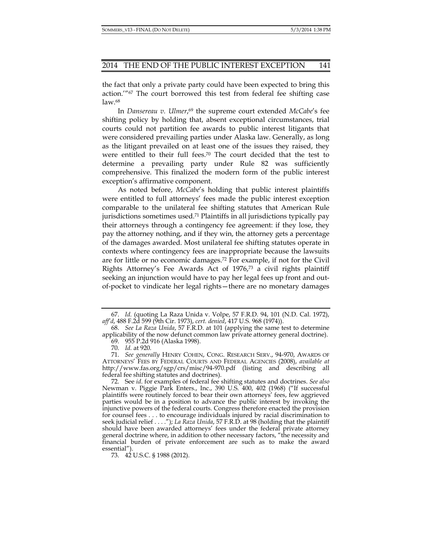the fact that only a private party could have been expected to bring this action.'"67 The court borrowed this test from federal fee shifting case law.68

In *Dansereau v. Ulmer*, 69 the supreme court extended *McCabe*'s fee shifting policy by holding that, absent exceptional circumstances, trial courts could not partition fee awards to public interest litigants that were considered prevailing parties under Alaska law. Generally, as long as the litigant prevailed on at least one of the issues they raised, they were entitled to their full fees.70 The court decided that the test to determine a prevailing party under Rule 82 was sufficiently comprehensive. This finalized the modern form of the public interest exception's affirmative component.

As noted before, *McCabe*'s holding that public interest plaintiffs were entitled to full attorneys' fees made the public interest exception comparable to the unilateral fee shifting statutes that American Rule jurisdictions sometimes used.<sup>71</sup> Plaintiffs in all jurisdictions typically pay their attorneys through a contingency fee agreement: if they lose, they pay the attorney nothing, and if they win, the attorney gets a percentage of the damages awarded. Most unilateral fee shifting statutes operate in contexts where contingency fees are inappropriate because the lawsuits are for little or no economic damages.72 For example, if not for the Civil Rights Attorney's Fee Awards Act of 1976,73 a civil rights plaintiff seeking an injunction would have to pay her legal fees up front and outof-pocket to vindicate her legal rights—there are no monetary damages

 <sup>67.</sup> *Id.* (quoting La Raza Unida v. Volpe, 57 F.R.D. 94, 101 (N.D. Cal. 1972), *aff'd*, 488 F.2d 599 (9th Cir. 1973), *cert. denied*, 417 U.S. 968 (1974)).

 <sup>68.</sup> *See La Raza Unida*, 57 F.R.D. at 101 (applying the same test to determine applicability of the now defunct common law private attorney general doctrine).

 <sup>69. 955</sup> P.2d 916 (Alaska 1998).

 <sup>70.</sup> *Id.* at 920.

 <sup>71.</sup> *See generally* HENRY COHEN, CONG. RESEARCH SERV., 94-970, AWARDS OF ATTORNEYS' FEES BY FEDERAL COURTS AND FEDERAL AGENCIES (2008), *available at*  http://www.fas.org/sgp/crs/misc/94-970.pdf (listing and describing all federal fee shifting statutes and doctrines).

 <sup>72.</sup> See *id*. for examples of federal fee shifting statutes and doctrines. *See also*  Newman v. Piggie Park Enters., Inc., 390 U.S. 400, 402 (1968) ("If successful plaintiffs were routinely forced to bear their own attorneys' fees, few aggrieved parties would be in a position to advance the public interest by invoking the injunctive powers of the federal courts. Congress therefore enacted the provision for counsel fees . . . to encourage individuals injured by racial discrimination to seek judicial relief . . . ."); *La Raza Unida*, 57 F.R.D. at 98 (holding that the plaintiff should have been awarded attorneys' fees under the federal private attorney general doctrine where, in addition to other necessary factors, "the necessity and financial burden of private enforcement are such as to make the award essential").

 <sup>73. 42</sup> U.S.C. § 1988 (2012).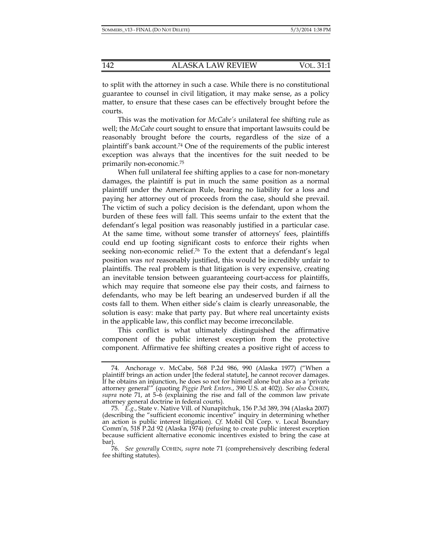to split with the attorney in such a case. While there is no constitutional guarantee to counsel in civil litigation, it may make sense, as a policy matter, to ensure that these cases can be effectively brought before the courts.

This was the motivation for *McCabe's* unilateral fee shifting rule as well; the *McCabe* court sought to ensure that important lawsuits could be reasonably brought before the courts, regardless of the size of a plaintiff's bank account.74 One of the requirements of the public interest exception was always that the incentives for the suit needed to be primarily non-economic.75

When full unilateral fee shifting applies to a case for non-monetary damages, the plaintiff is put in much the same position as a normal plaintiff under the American Rule, bearing no liability for a loss and paying her attorney out of proceeds from the case, should she prevail. The victim of such a policy decision is the defendant, upon whom the burden of these fees will fall. This seems unfair to the extent that the defendant's legal position was reasonably justified in a particular case. At the same time, without some transfer of attorneys' fees, plaintiffs could end up footing significant costs to enforce their rights when seeking non-economic relief.76 To the extent that a defendant's legal position was *not* reasonably justified, this would be incredibly unfair to plaintiffs. The real problem is that litigation is very expensive, creating an inevitable tension between guaranteeing court-access for plaintiffs, which may require that someone else pay their costs, and fairness to defendants, who may be left bearing an undeserved burden if all the costs fall to them. When either side's claim is clearly unreasonable, the solution is easy: make that party pay. But where real uncertainty exists in the applicable law, this conflict may become irreconcilable.

This conflict is what ultimately distinguished the affirmative component of the public interest exception from the protective component. Affirmative fee shifting creates a positive right of access to

 <sup>74.</sup> Anchorage v. McCabe, 568 P.2d 986, 990 (Alaska 1977) ("When a plaintiff brings an action under [the federal statute], he cannot recover damages. If he obtains an injunction, he does so not for himself alone but also as a 'private attorney general'" (quoting *Piggie Park Enters.*, 390 U.S. at 402)). *See also* COHEN, *supra* note 71, at 5–6 (explaining the rise and fall of the common law private attorney general doctrine in federal courts).

 <sup>75.</sup> *E.g.*, State v. Native Vill. of Nunapitchuk, 156 P.3d 389, 394 (Alaska 2007) (describing the "sufficient economic incentive" inquiry in determining whether an action is public interest litigation). *Cf.* Mobil Oil Corp. v. Local Boundary Comm'n, 518 P.2d 92 (Alaska 1974) (refusing to create public interest exception because sufficient alternative economic incentives existed to bring the case at bar).

 <sup>76.</sup> *See generally* COHEN, *supra* note 71 (comprehensively describing federal fee shifting statutes).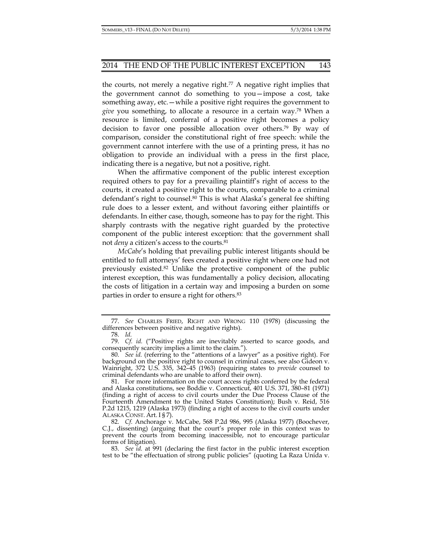the courts, not merely a negative right.<sup>77</sup> A negative right implies that the government cannot do something to you—impose a cost, take something away, etc.—while a positive right requires the government to *give* you something, to allocate a resource in a certain way.78 When a resource is limited, conferral of a positive right becomes a policy decision to favor one possible allocation over others.79 By way of comparison, consider the constitutional right of free speech: while the government cannot interfere with the use of a printing press, it has no obligation to provide an individual with a press in the first place, indicating there is a negative, but not a positive, right.

When the affirmative component of the public interest exception required others to pay for a prevailing plaintiff's right of access to the courts, it created a positive right to the courts, comparable to a criminal defendant's right to counsel.80 This is what Alaska's general fee shifting rule does to a lesser extent, and without favoring either plaintiffs or defendants. In either case, though, someone has to pay for the right. This sharply contrasts with the negative right guarded by the protective component of the public interest exception: that the government shall not *deny* a citizen's access to the courts.81

*McCabe*'s holding that prevailing public interest litigants should be entitled to full attorneys' fees created a positive right where one had not previously existed.82 Unlike the protective component of the public interest exception, this was fundamentally a policy decision, allocating the costs of litigation in a certain way and imposing a burden on some parties in order to ensure a right for others.83

 <sup>77.</sup> *See* CHARLES FRIED, RIGHT AND WRONG 110 (1978) (discussing the differences between positive and negative rights).

 <sup>78.</sup> *Id.* 

 <sup>79.</sup> *Cf. id.* ("Positive rights are inevitably asserted to scarce goods, and consequently scarcity implies a limit to the claim.").

 <sup>80.</sup> *See id.* (referring to the "attentions of a lawyer" as a positive right). For background on the positive right to counsel in criminal cases, see also Gideon v. Wainright, 372 U.S. 335, 342–45 (1963) (requiring states to *provide* counsel to criminal defendants who are unable to afford their own).

 <sup>81.</sup> For more information on the court access rights conferred by the federal and Alaska constitutions, see Boddie v. Connecticut, 401 U.S. 371, 380–81 (1971) (finding a right of access to civil courts under the Due Process Clause of the Fourteenth Amendment to the United States Constitution); Bush v. Reid, 516 P.2d 1215, 1219 (Alaska 1973) (finding a right of access to the civil courts under ALASKA CONST. Art. I § 7).

 <sup>82.</sup> *Cf.* Anchorage v. McCabe, 568 P.2d 986, 995 (Alaska 1977) (Boochever, C.J., dissenting) (arguing that the court's proper role in this context was to prevent the courts from becoming inaccessible, not to encourage particular forms of litigation).

 <sup>83.</sup> *See id.* at 991 (declaring the first factor in the public interest exception test to be "the effectuation of strong public policies" (quoting La Raza Unida v.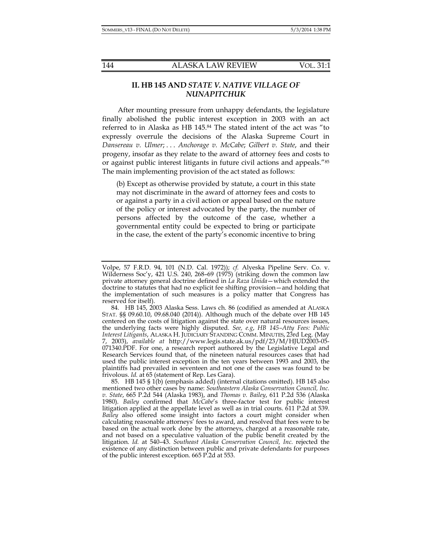# **II. HB 145 AND** *STATE V. NATIVE VILLAGE OF NUNAPITCHUK*

After mounting pressure from unhappy defendants, the legislature finally abolished the public interest exception in 2003 with an act referred to in Alaska as HB 145.84 The stated intent of the act was "to expressly overrule the decisions of the Alaska Supreme Court in *Dansereau v. Ulmer*; . . . *Anchorage v. McCabe*; *Gilbert v. State*, and their progeny, insofar as they relate to the award of attorney fees and costs to or against public interest litigants in future civil actions and appeals."85 The main implementing provision of the act stated as follows:

(b) Except as otherwise provided by statute, a court in this state may not discriminate in the award of attorney fees and costs to or against a party in a civil action or appeal based on the nature of the policy or interest advocated by the party, the number of persons affected by the outcome of the case, whether a governmental entity could be expected to bring or participate in the case, the extent of the party's economic incentive to bring

Volpe, 57 F.R.D. 94, 101 (N.D. Cal. 1972)); *cf.* Alyeska Pipeline Serv. Co. v. Wilderness Soc'y, 421 U.S. 240, 268–69 (1975) (striking down the common law private attorney general doctrine defined in *La Raza Unida*—which extended the doctrine to statutes that had no explicit fee shifting provision—and holding that the implementation of such measures is a policy matter that Congress has reserved for itself).

 <sup>84.</sup> HB 145, 2003 Alaska Sess. Laws ch. 86 (codified as amended at ALASKA STAT. §§ 09.60.10, 09.68.040 (2014)). Although much of the debate over HB 145 centered on the costs of litigation against the state over natural resources issues, the underlying facts were highly disputed. *See, e.g*, *HB 145–Atty Fees: Public Interest Litigants*, ALASKA H. JUDICIARY STANDING COMM. MINUTES, 23rd Leg. (May 7, 2003), *available at* http://www.legis.state.ak.us/pdf/23/M/HJUD2003-05- 071340.PDF. For one, a research report authored by the Legislative Legal and Research Services found that, of the nineteen natural resources cases that had used the public interest exception in the ten years between 1993 and 2003, the plaintiffs had prevailed in seventeen and not one of the cases was found to be frivolous. *Id.* at 65 (statement of Rep. Les Gara).

 <sup>85.</sup> HB 145 § 1(b) (emphasis added) (internal citations omitted). HB 145 also mentioned two other cases by name: *Southeastern Alaska Conservation Council, Inc. v. State*, 665 P.2d 544 (Alaska 1983), and *Thomas v. Bailey*, 611 P.2d 536 (Alaska 1980). *Bailey* confirmed that *McCabe*'s three-factor test for public interest litigation applied at the appellate level as well as in trial courts. 611 P.2d at 539. Bailey also offered some insight into factors a court might consider when calculating reasonable attorneys' fees to award, and resolved that fees were to be based on the actual work done by the attorneys, charged at a reasonable rate, and not based on a speculative valuation of the public benefit created by the litigation. *Id.* at 540–43. *Southeast Alaska Conservation Council, Inc.* rejected the existence of any distinction between public and private defendants for purposes of the public interest exception. 665 P.2d at 553.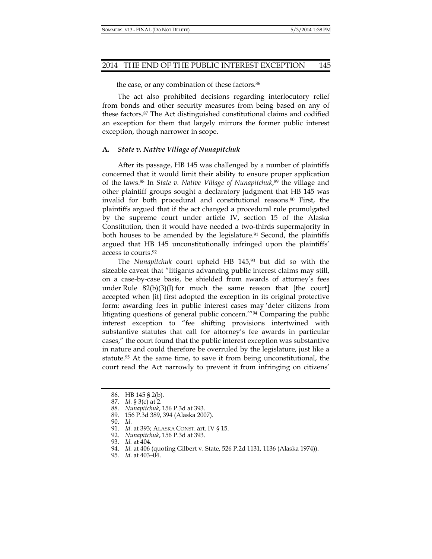the case, or any combination of these factors.<sup>86</sup>

The act also prohibited decisions regarding interlocutory relief from bonds and other security measures from being based on any of these factors.87 The Act distinguished constitutional claims and codified an exception for them that largely mirrors the former public interest exception, though narrower in scope.

#### **A.** *State v. Native Village of Nunapitchuk*

After its passage, HB 145 was challenged by a number of plaintiffs concerned that it would limit their ability to ensure proper application of the laws.88 In *State v. Native Village of Nunapitchuk*, 89 the village and other plaintiff groups sought a declaratory judgment that HB 145 was invalid for both procedural and constitutional reasons.90 First, the plaintiffs argued that if the act changed a procedural rule promulgated by the supreme court under article IV, section 15 of the Alaska Constitution, then it would have needed a two-thirds supermajority in both houses to be amended by the legislature.<sup>91</sup> Second, the plaintiffs argued that HB 145 unconstitutionally infringed upon the plaintiffs' access to courts.92

The *Nunapitchuk* court upheld HB 145,93 but did so with the sizeable caveat that "litigants advancing public interest claims may still, on a case-by-case basis, be shielded from awards of attorney's fees under Rule  $82(b)(3)(1)$  for much the same reason that [the court] accepted when [it] first adopted the exception in its original protective form: awarding fees in public interest cases may 'deter citizens from litigating questions of general public concern.'"94 Comparing the public interest exception to "fee shifting provisions intertwined with substantive statutes that call for attorney's fee awards in particular cases," the court found that the public interest exception was substantive in nature and could therefore be overruled by the legislature, just like a statute.95 At the same time, to save it from being unconstitutional, the court read the Act narrowly to prevent it from infringing on citizens'

91. *Id.* at 393; ALASKA CONST. art. IV § 15.

 <sup>86.</sup> HB 145 § 2(b).

 <sup>87.</sup> *Id.* § 3(c) at 2.

 <sup>88.</sup> *Nunapitchuk*, 156 P.3d at 393.

 <sup>89. 156</sup> P.3d 389, 394 (Alaska 2007).

 <sup>90.</sup> *Id.*

 <sup>92.</sup> *Nunapitchuk*, 156 P.3d at 393.

 <sup>93.</sup> *Id.* at 404.

 <sup>94.</sup> *Id.* at 406 (quoting Gilbert v. State, 526 P.2d 1131, 1136 (Alaska 1974)).

<sup>95</sup>*. Id.* at 403–04.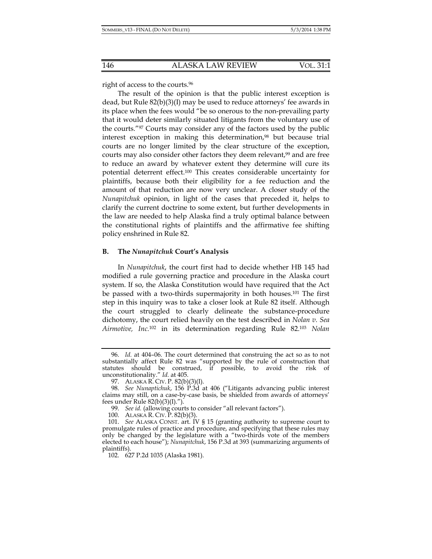right of access to the courts.96

The result of the opinion is that the public interest exception is dead, but Rule 82(b)(3)(I) may be used to reduce attorneys' fee awards in its place when the fees would "be so onerous to the non-prevailing party that it would deter similarly situated litigants from the voluntary use of the courts."97 Courts may consider any of the factors used by the public interest exception in making this determination,<sup>98</sup> but because trial courts are no longer limited by the clear structure of the exception, courts may also consider other factors they deem relevant,<sup>99</sup> and are free to reduce an award by whatever extent they determine will cure its potential deterrent effect.100 This creates considerable uncertainty for plaintiffs, because both their eligibility for a fee reduction and the amount of that reduction are now very unclear. A closer study of the *Nunapitchuk* opinion, in light of the cases that preceded it, helps to clarify the current doctrine to some extent, but further developments in the law are needed to help Alaska find a truly optimal balance between the constitutional rights of plaintiffs and the affirmative fee shifting policy enshrined in Rule 82.

#### **B. The** *Nunapitchuk* **Court's Analysis**

In *Nunapitchuk*, the court first had to decide whether HB 145 had modified a rule governing practice and procedure in the Alaska court system. If so, the Alaska Constitution would have required that the Act be passed with a two-thirds supermajority in both houses.101 The first step in this inquiry was to take a closer look at Rule 82 itself. Although the court struggled to clearly delineate the substance-procedure dichotomy, the court relied heavily on the test described in *Nolan v. Sea Airmotive, Inc.*<sup>102</sup> in its determination regarding Rule 82.103 *Nolan*

 <sup>96.</sup> *Id.* at 404–06. The court determined that construing the act so as to not substantially affect Rule 82 was "supported by the rule of construction that statutes should be construed, if possible, to avoid the risk of unconstitutionality." *Id.* at 405.

 <sup>97.</sup> ALASKA R. CIV. P. 82(b)(3)(I).

 <sup>98.</sup> *See Nunaptichuk*, 156 P.3d at 406 ("Litigants advancing public interest claims may still, on a case-by-case basis, be shielded from awards of attorneys' fees under Rule 82(b)(3)(I).").

 <sup>99.</sup> *See id.* (allowing courts to consider "all relevant factors").

 <sup>100.</sup> ALASKA R. CIV. P. 82(b)(3).

 <sup>101.</sup> *See* ALASKA CONST. art. IV § 15 (granting authority to supreme court to promulgate rules of practice and procedure, and specifying that these rules may only be changed by the legislature with a "two-thirds vote of the members elected to each house"); *Nunapitchuk*, 156 P.3d at 393 (summarizing arguments of plaintiffs).

 <sup>102. 627</sup> P.2d 1035 (Alaska 1981).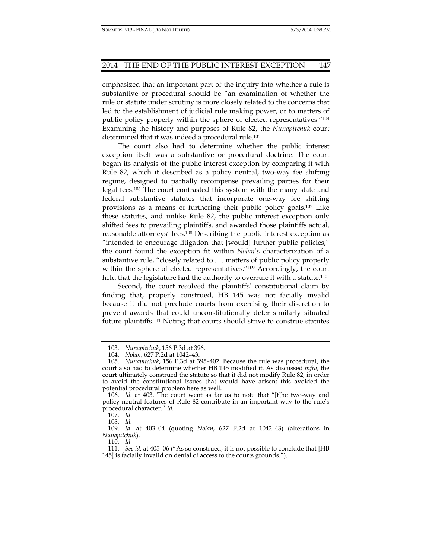emphasized that an important part of the inquiry into whether a rule is substantive or procedural should be "an examination of whether the rule or statute under scrutiny is more closely related to the concerns that led to the establishment of judicial rule making power, or to matters of public policy properly within the sphere of elected representatives*.*"104 Examining the history and purposes of Rule 82, the *Nunapitchuk* court determined that it was indeed a procedural rule.105

The court also had to determine whether the public interest exception itself was a substantive or procedural doctrine. The court began its analysis of the public interest exception by comparing it with Rule 82, which it described as a policy neutral, two-way fee shifting regime, designed to partially recompense prevailing parties for their legal fees.106 The court contrasted this system with the many state and federal substantive statutes that incorporate one-way fee shifting provisions as a means of furthering their public policy goals.107 Like these statutes, and unlike Rule 82, the public interest exception only shifted fees to prevailing plaintiffs, and awarded those plaintiffs actual, reasonable attorneys' fees.108 Describing the public interest exception as "intended to encourage litigation that [would] further public policies," the court found the exception fit within *Nolan*'s characterization of a substantive rule, "closely related to . . . matters of public policy properly within the sphere of elected representatives."<sup>109</sup> Accordingly, the court held that the legislature had the authority to overrule it with a statute.<sup>110</sup>

Second, the court resolved the plaintiffs' constitutional claim by finding that, properly construed, HB 145 was not facially invalid because it did not preclude courts from exercising their discretion to prevent awards that could unconstitutionally deter similarly situated future plaintiffs.111 Noting that courts should strive to construe statutes

108. *Id.* 

110. *Id.*

 <sup>103.</sup> *Nunapitchuk*, 156 P.3d at 396.

 <sup>104.</sup> *Nolan*, 627 P.2d at 1042–43.

 <sup>105.</sup> *Nunapitchuk*, 156 P.3d at 395–402. Because the rule was procedural, the court also had to determine whether HB 145 modified it. As discussed *infra*, the court ultimately construed the statute so that it did not modify Rule 82, in order to avoid the constitutional issues that would have arisen; this avoided the potential procedural problem here as well.

 <sup>106.</sup> *Id.* at 403. The court went as far as to note that "[t]he two-way and policy-neutral features of Rule 82 contribute in an important way to the rule's procedural character." *Id.* 

 <sup>107.</sup> *Id.*

 <sup>109.</sup> *Id.* at 403–04 (quoting *Nolan*, 627 P.2d at 1042–43) (alterations in *Nunapitchuk*).

 <sup>111.</sup> *See id.* at 405–06 ("As so construed, it is not possible to conclude that [HB 145] is facially invalid on denial of access to the courts grounds.").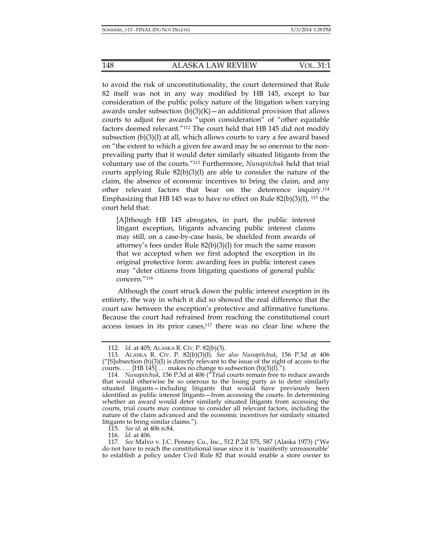to avoid the risk of unconstitutionality, the court determined that Rule 82 itself was not in any way modified by HB 145, except to bar consideration of the public policy nature of the litigation when varying awards under subsection  $(b)(3)(K)$  – an additional provision that allows courts to adjust fee awards "upon consideration" of "other equitable factors deemed relevant."112 The court held that HB 145 did not modify subsection  $(b)(3)(I)$  at all, which allows courts to vary a fee award based on "the extent to which a given fee award may be so onerous to the nonprevailing party that it would deter similarly situated litigants from the voluntary use of the courts."113 Furthermore, *Nunapitchuk* held that trial courts applying Rule 82(b)(3)(I) are able to consider the nature of the claim, the absence of economic incentives to bring the claim, and any other relevant factors that bear on the deterrence inquiry.114 Emphasizing that HB 145 was to have *no* effect on Rule 82(b)(3)(I), 115 the court held that:

[A]lthough HB 145 abrogates, in part, the public interest litigant exception, litigants advancing public interest claims may still, on a case-by-case basis, be shielded from awards of attorney's fees under Rule 82(b)(3)(I) for much the same reason that we accepted when we first adopted the exception in its original protective form: awarding fees in public interest cases may "deter citizens from litigating questions of general public concern."116

Although the court struck down the public interest exception in its entirety, the way in which it did so showed the real difference that the court saw between the exception's protective and affirmative functions. Because the court had refrained from reaching the constitutional court access issues in its prior cases,117 there was no clear line where the

115. *See id.* at 406 n.84.

116. *Id.* at 406.

<sup>112</sup>*. Id.* at 405; ALASKA R. CIV. P. 82(b)(3).

 <sup>113.</sup> ALASKA R. CIV. P. 82(b)(3)(I). *See also Nunapitchuk*, 156 P.3d at 406  $('']$ S |ubsection (b)(3)(I) is directly relevant to the issue of the right of access to the courts.... [HB 145]... makes no change to subsection  $(b)(3)(I).$ ").

 <sup>114.</sup> *Nunapitchuk*, 156 P.3d at 406 ("Trial courts remain free to reduce awards that would otherwise be so onerous to the losing party as to deter similarly situated litigants—including litigants that would have previously been identified as public interest litigants—from accessing the courts. In determining whether an award would deter similarly situated litigants from accessing the courts, trial courts may continue to consider all relevant factors, including the nature of the claim advanced and the economic incentives for similarly situated litigants to bring similar claims.").

 <sup>117.</sup> *See* Malvo v. J.C. Penney Co., Inc., 512 P.2d 575, 587 (Alaska 1973) ("We do not have to reach the constitutional issue since it is 'manifestly unreasonable' to establish a policy under Civil Rule 82 that would enable a store owner to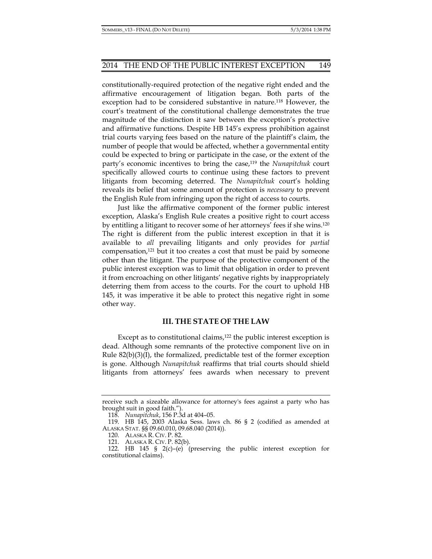constitutionally-required protection of the negative right ended and the affirmative encouragement of litigation began. Both parts of the exception had to be considered substantive in nature.118 However, the court's treatment of the constitutional challenge demonstrates the true magnitude of the distinction it saw between the exception's protective and affirmative functions. Despite HB 145's express prohibition against trial courts varying fees based on the nature of the plaintiff's claim, the number of people that would be affected, whether a governmental entity could be expected to bring or participate in the case, or the extent of the party's economic incentives to bring the case,119 the *Nunapitchuk* court specifically allowed courts to continue using these factors to prevent litigants from becoming deterred. The *Nunapitchuk* court's holding reveals its belief that some amount of protection is *necessary* to prevent the English Rule from infringing upon the right of access to courts.

Just like the affirmative component of the former public interest exception, Alaska's English Rule creates a positive right to court access by entitling a litigant to recover some of her attorneys' fees if she wins.120 The right is different from the public interest exception in that it is available to *all* prevailing litigants and only provides for *partial* compensation,121 but it too creates a cost that must be paid by someone other than the litigant. The purpose of the protective component of the public interest exception was to limit that obligation in order to prevent it from encroaching on other litigants' negative rights by inappropriately deterring them from access to the courts. For the court to uphold HB 145, it was imperative it be able to protect this negative right in some other way.

#### **III. THE STATE OF THE LAW**

Except as to constitutional claims, $122$  the public interest exception is dead. Although some remnants of the protective component live on in Rule  $82(b)(3)(I)$ , the formalized, predictable test of the former exception is gone. Although *Nunapitchuk* reaffirms that trial courts should shield litigants from attorneys' fees awards when necessary to prevent

receive such a sizeable allowance for attorney's fees against a party who has brought suit in good faith.").

 <sup>118.</sup> *Nunapitchuk*, 156 P.3d at 404–05.

 <sup>119.</sup> HB 145, 2003 Alaska Sess. laws ch. 86 § 2 (codified as amended at ALASKA STAT. §§ 09.60.010, 09.68.040 (2014)).

 <sup>120.</sup> ALASKA R. CIV. P. 82.

 <sup>121.</sup> ALASKA R. CIV. P. 82(b).

 <sup>122.</sup> HB 145 § 2(c)–(e) (preserving the public interest exception for constitutional claims).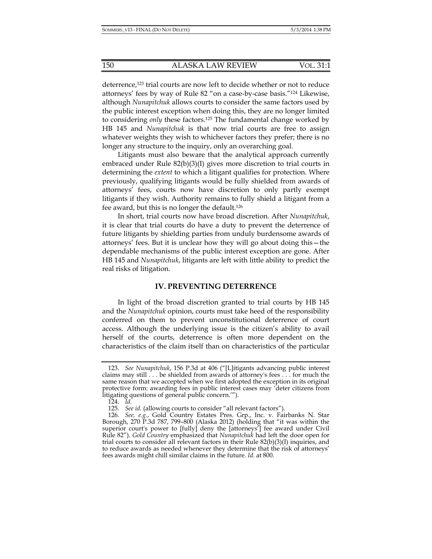deterrence,123 trial courts are now left to decide whether or not to reduce attorneys' fees by way of Rule 82 "on a case-by-case basis."124 Likewise, although *Nunapitchuk* allows courts to consider the same factors used by the public interest exception when doing this, they are no longer limited to considering *only* these factors.125 The fundamental change worked by HB 145 and *Nunapitchuk* is that now trial courts are free to assign whatever weights they wish to whichever factors they prefer; there is no longer any structure to the inquiry, only an overarching goal.

Litigants must also beware that the analytical approach currently embraced under Rule 82(b)(3)(I) gives more discretion to trial courts in determining the *extent* to which a litigant qualifies for protection. Where previously, qualifying litigants would be fully shielded from awards of attorneys' fees, courts now have discretion to only partly exempt litigants if they wish. Authority remains to fully shield a litigant from a fee award, but this is no longer the default.126

In short, trial courts now have broad discretion. After *Nunapitchuk*, it is clear that trial courts do have a duty to prevent the deterrence of future litigants by shielding parties from unduly burdensome awards of attorneys' fees. But it is unclear how they will go about doing this—the dependable mechanisms of the public interest exception are gone. After HB 145 and *Nunapitchuk*, litigants are left with little ability to predict the real risks of litigation.

## **IV. PREVENTING DETERRENCE**

In light of the broad discretion granted to trial courts by HB 145 and the *Nunapitchuk* opinion, courts must take heed of the responsibility conferred on them to prevent unconstitutional deterrence of court access. Although the underlying issue is the citizen's ability to avail herself of the courts, deterrence is often more dependent on the characteristics of the claim itself than on characteristics of the particular

 <sup>123.</sup> *See Nunapitchuk*, 156 P.3d at 406 ("[L]itigants advancing public interest claims may still . . . be shielded from awards of attorney's fees . . . for much the same reason that we accepted when we first adopted the exception in its original protective form: awarding fees in public interest cases may 'deter citizens from litigating questions of general public concern.'").

 <sup>124.</sup> *Id.*

 <sup>125.</sup> *See id.* (allowing courts to consider "all relevant factors").

 <sup>126.</sup> *See, e.g.*, Gold Country Estates Pres. Grp., Inc. v. Fairbanks N. Star Borough, 270 P.3d 787, 799–800 (Alaska 2012) (holding that "it was within the superior court's power to [fully] deny the [attorneys'] fee award under Civil Rule 82"). *Gold Country* emphasized that *Nunapitchuk* had left the door open for trial courts to consider all relevant factors in their Rule  $82(b)(3)(I)$  inquiries, and to reduce awards as needed whenever they determine that the risk of attorneys' fees awards might chill similar claims in the future. *Id.* at 800.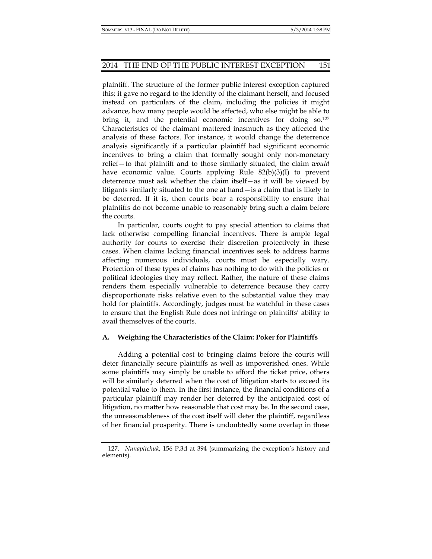plaintiff. The structure of the former public interest exception captured this; it gave no regard to the identity of the claimant herself, and focused instead on particulars of the claim, including the policies it might advance, how many people would be affected, who else might be able to bring it, and the potential economic incentives for doing so.127 Characteristics of the claimant mattered inasmuch as they affected the analysis of these factors. For instance, it would change the deterrence analysis significantly if a particular plaintiff had significant economic incentives to bring a claim that formally sought only non-monetary relief—to that plaintiff and to those similarly situated, the claim *would* have economic value. Courts applying Rule  $82(b)(3)(1)$  to prevent deterrence must ask whether the claim itself—as it will be viewed by litigants similarly situated to the one at hand—is a claim that is likely to be deterred. If it is, then courts bear a responsibility to ensure that plaintiffs do not become unable to reasonably bring such a claim before the courts.

In particular, courts ought to pay special attention to claims that lack otherwise compelling financial incentives. There is ample legal authority for courts to exercise their discretion protectively in these cases. When claims lacking financial incentives seek to address harms affecting numerous individuals, courts must be especially wary. Protection of these types of claims has nothing to do with the policies or political ideologies they may reflect. Rather, the nature of these claims renders them especially vulnerable to deterrence because they carry disproportionate risks relative even to the substantial value they may hold for plaintiffs. Accordingly, judges must be watchful in these cases to ensure that the English Rule does not infringe on plaintiffs' ability to avail themselves of the courts.

# **A. Weighing the Characteristics of the Claim: Poker for Plaintiffs**

Adding a potential cost to bringing claims before the courts will deter financially secure plaintiffs as well as impoverished ones. While some plaintiffs may simply be unable to afford the ticket price, others will be similarly deterred when the cost of litigation starts to exceed its potential value to them. In the first instance, the financial conditions of a particular plaintiff may render her deterred by the anticipated cost of litigation, no matter how reasonable that cost may be. In the second case, the unreasonableness of the cost itself will deter the plaintiff, regardless of her financial prosperity. There is undoubtedly some overlap in these

 <sup>127.</sup> *Nunapitchuk*, 156 P.3d at 394 (summarizing the exception's history and elements).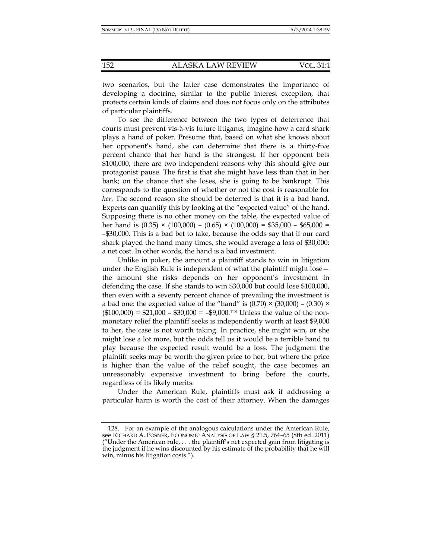two scenarios, but the latter case demonstrates the importance of developing a doctrine, similar to the public interest exception, that protects certain kinds of claims and does not focus only on the attributes of particular plaintiffs.

To see the difference between the two types of deterrence that courts must prevent vis-à-vis future litigants, imagine how a card shark plays a hand of poker. Presume that, based on what she knows about her opponent's hand, she can determine that there is a thirty-five percent chance that her hand is the strongest. If her opponent bets \$100,000, there are two independent reasons why this should give our protagonist pause. The first is that she might have less than that in her bank; on the chance that she loses, she is going to be bankrupt. This corresponds to the question of whether or not the cost is reasonable for *her*. The second reason she should be deterred is that it is a bad hand. Experts can quantify this by looking at the "expected value" of the hand. Supposing there is no other money on the table, the expected value of her hand is  $(0.35) \times (100,000) - (0.65) \times (100,000) = $35,000 - $65,000 =$ –\$30,000. This is a bad bet to take, because the odds say that if our card shark played the hand many times, she would average a loss of \$30,000: a net cost. In other words, the hand is a bad investment.

Unlike in poker, the amount a plaintiff stands to win in litigation under the English Rule is independent of what the plaintiff might lose the amount she risks depends on her opponent's investment in defending the case. If she stands to win \$30,000 but could lose \$100,000, then even with a seventy percent chance of prevailing the investment is a bad one: the expected value of the "hand" is  $(0.70) \times (30,000) - (0.30) \times$  $($100,000) = $21,000 - $30,000 = -$9,000<sup>.128</sup> Unless the value of the non$ monetary relief the plaintiff seeks is independently worth at least \$9,000 to her, the case is not worth taking. In practice, she might win, or she might lose a lot more, but the odds tell us it would be a terrible hand to play because the expected result would be a loss. The judgment the plaintiff seeks may be worth the given price to her, but where the price is higher than the value of the relief sought, the case becomes an unreasonably expensive investment to bring before the courts, regardless of its likely merits.

Under the American Rule, plaintiffs must ask if addressing a particular harm is worth the cost of their attorney. When the damages

 <sup>128.</sup> For an example of the analogous calculations under the American Rule, see RICHARD A. POSNER, ECONOMIC ANALYSIS OF LAW § 21.5, 764–65 (8th ed. 2011) ("Under the American rule,  $\dots$  the plaintiff's net expected gain from litigating is the judgment if he wins discounted by his estimate of the probability that he will win, minus his litigation costs.").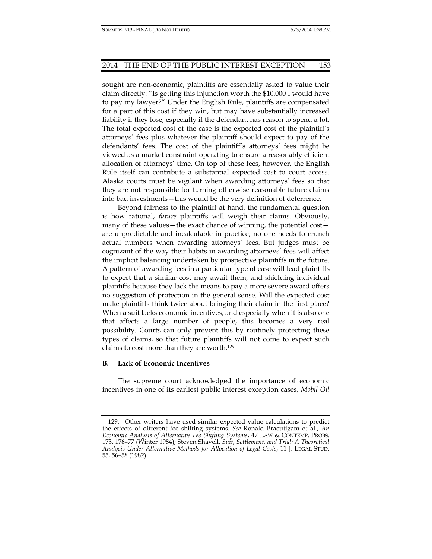sought are non-economic, plaintiffs are essentially asked to value their claim directly: "Is getting this injunction worth the \$10,000 I would have to pay my lawyer?" Under the English Rule, plaintiffs are compensated for a part of this cost if they win, but may have substantially increased liability if they lose, especially if the defendant has reason to spend a lot. The total expected cost of the case is the expected cost of the plaintiff's attorneys' fees plus whatever the plaintiff should expect to pay of the defendants' fees. The cost of the plaintiff's attorneys' fees might be viewed as a market constraint operating to ensure a reasonably efficient allocation of attorneys' time. On top of these fees, however, the English Rule itself can contribute a substantial expected cost to court access. Alaska courts must be vigilant when awarding attorneys' fees so that they are not responsible for turning otherwise reasonable future claims into bad investments—this would be the very definition of deterrence.

Beyond fairness to the plaintiff at hand, the fundamental question is how rational, *future* plaintiffs will weigh their claims. Obviously, many of these values—the exact chance of winning, the potential cost are unpredictable and incalculable in practice; no one needs to crunch actual numbers when awarding attorneys' fees. But judges must be cognizant of the way their habits in awarding attorneys' fees will affect the implicit balancing undertaken by prospective plaintiffs in the future. A pattern of awarding fees in a particular type of case will lead plaintiffs to expect that a similar cost may await them, and shielding individual plaintiffs because they lack the means to pay a more severe award offers no suggestion of protection in the general sense. Will the expected cost make plaintiffs think twice about bringing their claim in the first place? When a suit lacks economic incentives, and especially when it is also one that affects a large number of people, this becomes a very real possibility. Courts can only prevent this by routinely protecting these types of claims, so that future plaintiffs will not come to expect such claims to cost more than they are worth.129

#### **B. Lack of Economic Incentives**

The supreme court acknowledged the importance of economic incentives in one of its earliest public interest exception cases, *Mobil Oil* 

 <sup>129.</sup> Other writers have used similar expected value calculations to predict the effects of different fee shifting systems. *See* Ronald Braeutigam et al., *An Economic Analysis of Alternative Fee Shifting Systems*, 47 LAW & CONTEMP. PROBS. 173, 176–77 (Winter 1984); Steven Shavell, *Suit, Settlement, and Trial: A Theoretical Analysis Under Alternative Methods for Allocation of Legal Costs*, 11 J. LEGAL STUD. 55, 56–58 (1982).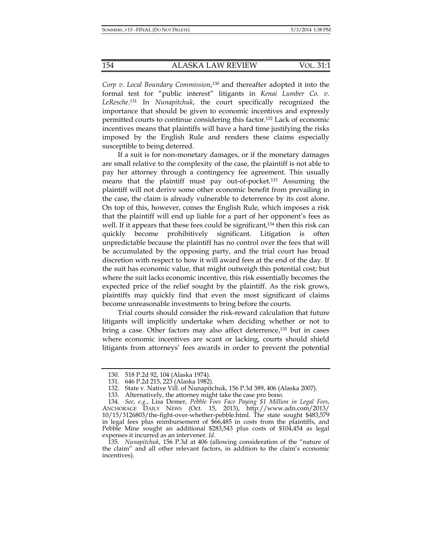*Corp v. Local Boundary Commission*, 130 and thereafter adopted it into the formal test for "public interest" litigants in *Kenai Lumber Co. v. LeResche*. 131 In *Nunapitchuk*, the court specifically recognized the importance that should be given to economic incentives and expressly permitted courts to continue considering this factor.132 Lack of economic incentives means that plaintiffs will have a hard time justifying the risks imposed by the English Rule and renders these claims especially susceptible to being deterred.

If a suit is for non-monetary damages, or if the monetary damages are small relative to the complexity of the case, the plaintiff is not able to pay her attorney through a contingency fee agreement. This usually means that the plaintiff must pay out-of-pocket.133 Assuming the plaintiff will not derive some other economic benefit from prevailing in the case, the claim is already vulnerable to deterrence by its cost alone. On top of this, however, comes the English Rule, which imposes a risk that the plaintiff will end up liable for a part of her opponent's fees as well. If it appears that these fees could be significant,<sup>134</sup> then this risk can quickly become prohibitively significant. Litigation is often unpredictable because the plaintiff has no control over the fees that will be accumulated by the opposing party, and the trial court has broad discretion with respect to how it will award fees at the end of the day. If the suit has economic value, that might outweigh this potential cost; but where the suit lacks economic incentive, this risk essentially becomes the expected price of the relief sought by the plaintiff. As the risk grows, plaintiffs may quickly find that even the most significant of claims become unreasonable investments to bring before the courts.

Trial courts should consider the risk-reward calculation that future litigants will implicitly undertake when deciding whether or not to bring a case. Other factors may also affect deterrence,<sup>135</sup> but in cases where economic incentives are scant or lacking, courts should shield litigants from attorneys' fees awards in order to prevent the potential

 <sup>130. 518</sup> P.2d 92, 104 (Alaska 1974).

 <sup>131. 646</sup> P.2d 215, 223 (Alaska 1982).

 <sup>132.</sup> State v. Native Vill. of Nunapitchuk, 156 P.3d 389, 406 (Alaska 2007).

 <sup>133.</sup> Alternatively, the attorney might take the case pro bono.

 <sup>134.</sup> *See*, *e.g.*, Lisa Demer, *Pebble Foes Face Paying \$1 Million in Legal Fees*, ANCHORAGE DAILY NEWS (Oct. 15, 2013), http://www.adn.com/2013/ 10/15/3126803/the-fight-over-whether-pebble.html. The state sought \$483,579 in legal fees plus reimbursement of \$66,485 in costs from the plaintiffs, and Pebble Mine sought an additional \$283,543 plus costs of \$104,454 as legal expenses it incurred as an intervener. *Id*.

 <sup>135.</sup> *Nunapitchuk*, 156 P.3d at 406 (allowing consideration of the "nature of the claim" and all other relevant factors, in addition to the claim's economic incentives).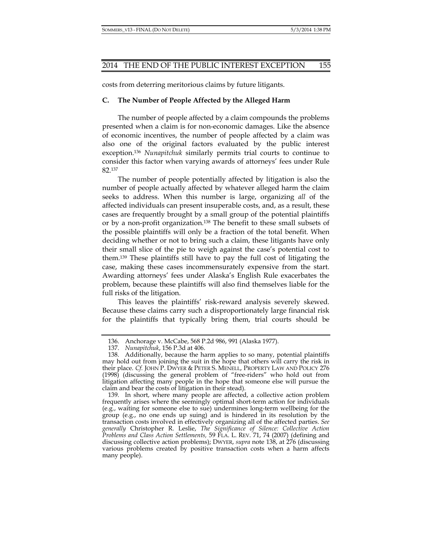costs from deterring meritorious claims by future litigants.

#### **C. The Number of People Affected by the Alleged Harm**

The number of people affected by a claim compounds the problems presented when a claim is for non-economic damages. Like the absence of economic incentives, the number of people affected by a claim was also one of the original factors evaluated by the public interest exception.136 *Nunapitchuk* similarly permits trial courts to continue to consider this factor when varying awards of attorneys' fees under Rule 82.137

The number of people potentially affected by litigation is also the number of people actually affected by whatever alleged harm the claim seeks to address. When this number is large, organizing *all* of the affected individuals can present insuperable costs, and, as a result, these cases are frequently brought by a small group of the potential plaintiffs or by a non-profit organization.138 The benefit to these small subsets of the possible plaintiffs will only be a fraction of the total benefit. When deciding whether or not to bring such a claim, these litigants have only their small slice of the pie to weigh against the case's potential cost to them.139 These plaintiffs still have to pay the full cost of litigating the case, making these cases incommensurately expensive from the start. Awarding attorneys' fees under Alaska's English Rule exacerbates the problem, because these plaintiffs will also find themselves liable for the full risks of the litigation.

This leaves the plaintiffs' risk-reward analysis severely skewed. Because these claims carry such a disproportionately large financial risk for the plaintiffs that typically bring them, trial courts should be

 <sup>136.</sup> Anchorage v. McCabe, 568 P.2d 986, 991 (Alaska 1977).

 <sup>137.</sup> *Nunapitchuk*, 156 P.3d at 406.

 <sup>138.</sup> Additionally, because the harm applies to so many, potential plaintiffs may hold out from joining the suit in the hope that others will carry the risk in their place. *Cf.* JOHN P. DWYER & PETER S. MENELL, PROPERTY LAW AND POLICY 276 (1998) (discussing the general problem of "free-riders" who hold out from litigation affecting many people in the hope that someone else will pursue the claim and bear the costs of litigation in their stead).

 <sup>139.</sup> In short, where many people are affected, a collective action problem frequently arises where the seemingly optimal short-term action for individuals (e.g., waiting for someone else to sue) undermines long-term wellbeing for the group (e.g., no one ends up suing) and is hindered in its resolution by the transaction costs involved in effectively organizing all of the affected parties. *See generally* Christopher R. Leslie, *The Significance of Silence: Collective Action Problems and Class Action Settlements,* 59 FLA. L. REV. 71, 74 (2007) (defining and discussing collective action problems); DWYER, *supra* note 138, at 276 (discussing various problems created by positive transaction costs when a harm affects many people).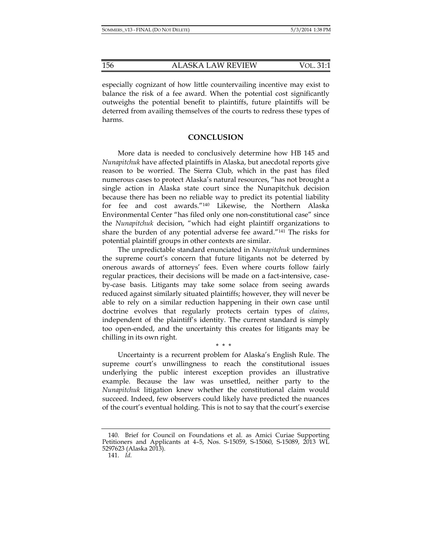especially cognizant of how little countervailing incentive may exist to balance the risk of a fee award. When the potential cost significantly outweighs the potential benefit to plaintiffs, future plaintiffs will be deterred from availing themselves of the courts to redress these types of harms.

#### **CONCLUSION**

More data is needed to conclusively determine how HB 145 and *Nunapitchuk* have affected plaintiffs in Alaska, but anecdotal reports give reason to be worried. The Sierra Club, which in the past has filed numerous cases to protect Alaska's natural resources, "has not brought a single action in Alaska state court since the Nunapitchuk decision because there has been no reliable way to predict its potential liability for fee and cost awards."140 Likewise, the Northern Alaska Environmental Center "has filed only one non-constitutional case" since the *Nunapitchuk* decision, "which had eight plaintiff organizations to share the burden of any potential adverse fee award."141 The risks for potential plaintiff groups in other contexts are similar.

The unpredictable standard enunciated in *Nunapitchuk* undermines the supreme court's concern that future litigants not be deterred by onerous awards of attorneys' fees. Even where courts follow fairly regular practices, their decisions will be made on a fact-intensive, caseby-case basis. Litigants may take some solace from seeing awards reduced against similarly situated plaintiffs; however, they will never be able to rely on a similar reduction happening in their own case until doctrine evolves that regularly protects certain types of *claims*, independent of the plaintiff's identity. The current standard is simply too open-ended, and the uncertainty this creates for litigants may be chilling in its own right.

Uncertainty is a recurrent problem for Alaska's English Rule. The supreme court's unwillingness to reach the constitutional issues underlying the public interest exception provides an illustrative example. Because the law was unsettled, neither party to the *Nunapitchuk* litigation knew whether the constitutional claim would succeed. Indeed, few observers could likely have predicted the nuances of the court's eventual holding. This is not to say that the court's exercise

\* \* \*

 <sup>140.</sup> Brief for Council on Foundations et al. as Amici Curiae Supporting Petitioners and Applicants at 4–5, Nos. S-15059, S-15060, S-15089, 2013 WL 5297623 (Alaska 2013).

 <sup>141.</sup> *Id.*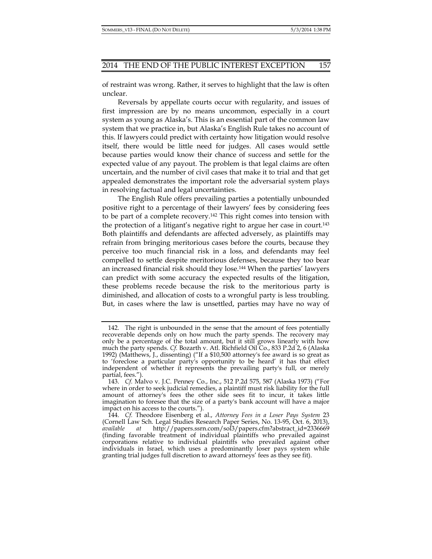of restraint was wrong. Rather, it serves to highlight that the law is often unclear.

Reversals by appellate courts occur with regularity, and issues of first impression are by no means uncommon, especially in a court system as young as Alaska's. This is an essential part of the common law system that we practice in, but Alaska's English Rule takes no account of this. If lawyers could predict with certainty how litigation would resolve itself, there would be little need for judges. All cases would settle because parties would know their chance of success and settle for the expected value of any payout. The problem is that legal claims are often uncertain, and the number of civil cases that make it to trial and that get appealed demonstrates the important role the adversarial system plays in resolving factual and legal uncertainties.

The English Rule offers prevailing parties a potentially unbounded positive right to a percentage of their lawyers' fees by considering fees to be part of a complete recovery.142 This right comes into tension with the protection of a litigant's negative right to argue her case in court.143 Both plaintiffs and defendants are affected adversely, as plaintiffs may refrain from bringing meritorious cases before the courts, because they perceive too much financial risk in a loss, and defendants may feel compelled to settle despite meritorious defenses, because they too bear an increased financial risk should they lose.144 When the parties' lawyers can predict with some accuracy the expected results of the litigation, these problems recede because the risk to the meritorious party is diminished, and allocation of costs to a wrongful party is less troubling. But, in cases where the law is unsettled, parties may have no way of

 <sup>142.</sup> The right is unbounded in the sense that the amount of fees potentially recoverable depends only on how much the party spends. The recovery may only be a percentage of the total amount, but it still grows linearly with how much the party spends. *Cf.* Bozarth v. Atl. Richfield Oil Co., 833 P.2d 2, 6 (Alaska 1992) (Matthews, J., dissenting) ("If a \$10,500 attorney's fee award is so great as to 'foreclose a particular party's opportunity to be heard' it has that effect independent of whether it represents the prevailing party's full, or merely partial, fees.").

 <sup>143.</sup> *Cf.* Malvo v. J.C. Penney Co., Inc., 512 P.2d 575, 587 (Alaska 1973) ("For where in order to seek judicial remedies, a plaintiff must risk liability for the full amount of attorney's fees the other side sees fit to incur, it takes little imagination to foresee that the size of a party's bank account will have a major impact on his access to the courts.").

 <sup>144.</sup> *Cf.* Theodore Eisenberg et al., *Attorney Fees in a Loser Pays System* 23 (Cornell Law Sch. Legal Studies Research Paper Series, No. 13-95, Oct. 6, 2013), *available at* http://papers.ssrn.com/sol3/papers.cfm?abstract\_id=2336669 (finding favorable treatment of individual plaintiffs who prevailed against corporations relative to individual plaintiffs who prevailed against other individuals in Israel, which uses a predominantly loser pays system while granting trial judges full discretion to award attorneys' fees as they see fit).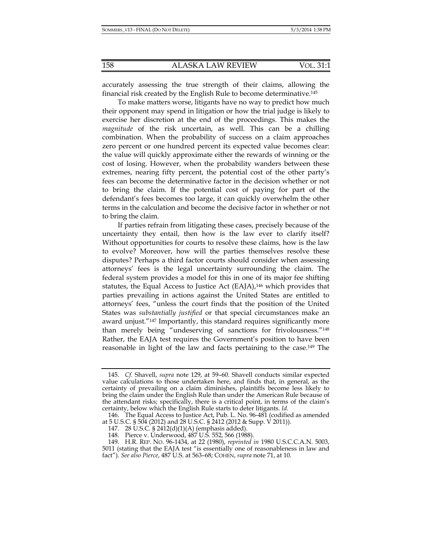accurately assessing the true strength of their claims, allowing the financial risk created by the English Rule to become determinative.145

To make matters worse, litigants have no way to predict how much their opponent may spend in litigation or how the trial judge is likely to exercise her discretion at the end of the proceedings. This makes the *magnitude* of the risk uncertain, as well. This can be a chilling combination. When the probability of success on a claim approaches zero percent or one hundred percent its expected value becomes clear: the value will quickly approximate either the rewards of winning or the cost of losing. However, when the probability wanders between these extremes, nearing fifty percent, the potential cost of the other party's fees can become the determinative factor in the decision whether or not to bring the claim. If the potential cost of paying for part of the defendant's fees becomes too large, it can quickly overwhelm the other terms in the calculation and become the decisive factor in whether or not to bring the claim.

If parties refrain from litigating these cases, precisely because of the uncertainty they entail, then how is the law ever to clarify itself? Without opportunities for courts to resolve these claims, how is the law to evolve? Moreover, how will the parties themselves resolve these disputes? Perhaps a third factor courts should consider when assessing attorneys' fees is the legal uncertainty surrounding the claim. The federal system provides a model for this in one of its major fee shifting statutes, the Equal Access to Justice Act (EAJA),<sup>146</sup> which provides that parties prevailing in actions against the United States are entitled to attorneys' fees, "unless the court finds that the position of the United States was *substantially justified* or that special circumstances make an award unjust."147 Importantly, this standard requires significantly more than merely being "undeserving of sanctions for frivolousness."148 Rather, the EAJA test requires the Government's position to have been reasonable in light of the law and facts pertaining to the case.149 The

 <sup>145.</sup> *Cf.* Shavell, *supra* note 129, at 59–60. Shavell conducts similar expected value calculations to those undertaken here, and finds that, in general, as the certainty of prevailing on a claim diminishes, plaintiffs become less likely to bring the claim under the English Rule than under the American Rule because of the attendant risks; specifically, there is a critical point, in terms of the claim's certainty, below which the English Rule starts to deter litigants. *Id.* 

 <sup>146.</sup> The Equal Access to Justice Act, Pub. L. No. 96-481 (codified as amended at 5 U.S.C. § 504 (2012) and 28 U.S.C. § 2412 (2012 & Supp. V 2011)).

 <sup>147. 28</sup> U.S.C. § 2412(d)(1)(A) (emphasis added).

 <sup>148.</sup> Pierce v. Underwood, 487 U.S. 552, 566 (1988).

 <sup>149.</sup> H.R. REP. NO. 96-1434, at 22 (1980), *reprinted in* 1980 U.S.C.C.A.N. 5003, 5011 (stating that the EAJA test "is essentially one of reasonableness in law and fact"). *See also Pierce*, 487 U.S. at 563–68; COHEN, *supra* note 71, at 10.